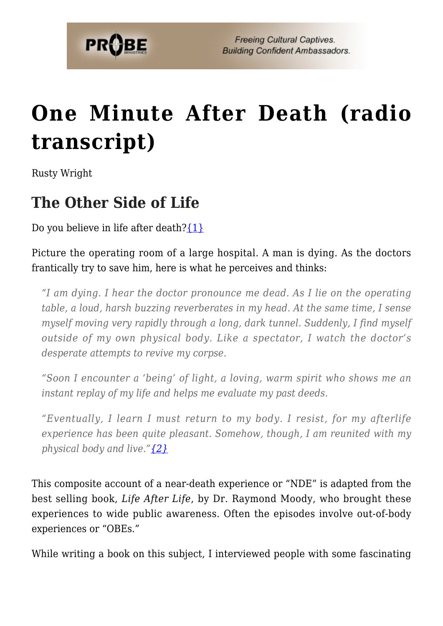

# **[One Minute After Death \(radio](https://probe.org/one-minute-after-death-radio-transcript/) [transcript\)](https://probe.org/one-minute-after-death-radio-transcript/)**

Rusty Wright

### **The Other Side of Life**

Do you believe in life after death? $\{1\}$ 

Picture the operating room of a large hospital. A man is dying. As the doctors frantically try to save him, here is what he perceives and thinks:

*"I am dying. I hear the doctor pronounce me dead. As I lie on the operating table, a loud, harsh buzzing reverberates in my head. At the same time, I sense myself moving very rapidly through a long, dark tunnel. Suddenly, I find myself outside of my own physical body. Like a spectator, I watch the doctor's desperate attempts to revive my corpse.*

*"Soon I encounter a 'being' of light, a loving, warm spirit who shows me an instant replay of my life and helps me evaluate my past deeds.*

*"Eventually, I learn I must return to my body. I resist, for my afterlife experience has been quite pleasant. Somehow, though, I am reunited with my physical body and live."[{2}](#page-7-1)*

This composite account of a near-death experience or "NDE" is adapted from the best selling book, *Life After Life*, by Dr. Raymond Moody, who brought these experiences to wide public awareness. Often the episodes involve out-of-body experiences or "OBEs."

While writing a book on this subject, I interviewed people with some fascinating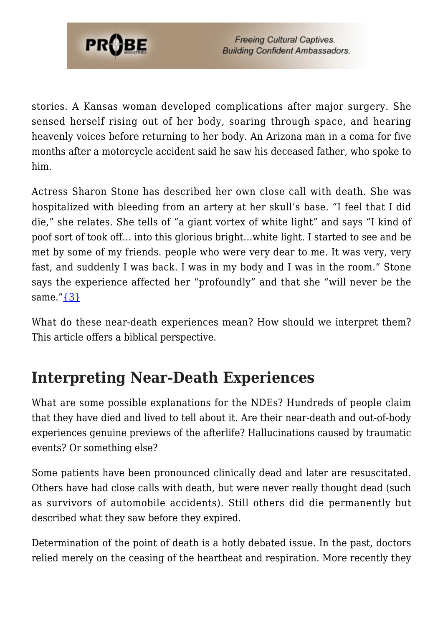

stories. A Kansas woman developed complications after major surgery. She sensed herself rising out of her body, soaring through space, and hearing heavenly voices before returning to her body. An Arizona man in a coma for five months after a motorcycle accident said he saw his deceased father, who spoke to him.

Actress Sharon Stone has described her own close call with death. She was hospitalized with bleeding from an artery at her skull's base. "I feel that I did die," she relates. She tells of "a giant vortex of white light" and says "I kind of poof sort of took off… into this glorious bright…white light. I started to see and be met by some of my friends. people who were very dear to me. It was very, very fast, and suddenly I was back. I was in my body and I was in the room." Stone says the experience affected her "profoundly" and that she "will never be the same." $\{3\}$ 

What do these near-death experiences mean? How should we interpret them? This article offers a biblical perspective.

### **Interpreting Near-Death Experiences**

What are some possible explanations for the NDEs? Hundreds of people claim that they have died and lived to tell about it. Are their near-death and out-of-body experiences genuine previews of the afterlife? Hallucinations caused by traumatic events? Or something else?

Some patients have been pronounced clinically dead and later are resuscitated. Others have had close calls with death, but were never really thought dead (such as survivors of automobile accidents). Still others did die permanently but described what they saw before they expired.

Determination of the point of death is a hotly debated issue. In the past, doctors relied merely on the ceasing of the heartbeat and respiration. More recently they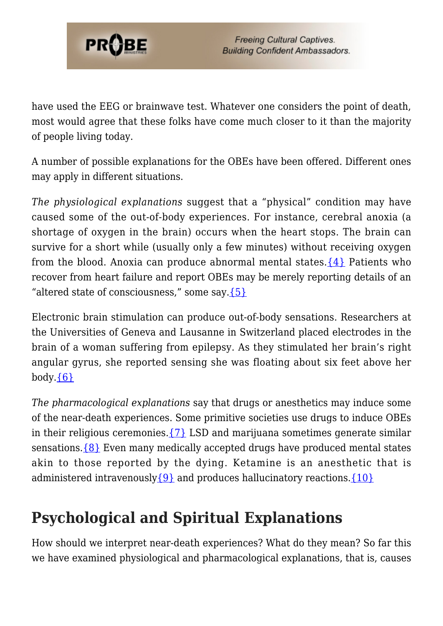

have used the EEG or brainwave test. Whatever one considers the point of death, most would agree that these folks have come much closer to it than the majority of people living today.

A number of possible explanations for the OBEs have been offered. Different ones may apply in different situations.

*The physiological explanations* suggest that a "physical" condition may have caused some of the out-of-body experiences. For instance, cerebral anoxia (a shortage of oxygen in the brain) occurs when the heart stops. The brain can survive for a short while (usually only a few minutes) without receiving oxygen from the blood. Anoxia can produce abnormal mental states.  $\{4\}$  Patients who recover from heart failure and report OBEs may be merely reporting details of an "altered state of consciousness," some say. ${5}$ 

Electronic brain stimulation can produce out-of-body sensations. Researchers at the Universities of Geneva and Lausanne in Switzerland placed electrodes in the brain of a woman suffering from epilepsy. As they stimulated her brain's right angular gyrus, she reported sensing she was floating about six feet above her body. ${6}$ 

*The pharmacological explanations* say that drugs or anesthetics may induce some of the near-death experiences. Some primitive societies use drugs to induce OBEs in their religious ceremonies.  $\{7\}$  LSD and marijuana sometimes generate similar sensations. $\{8\}$  Even many medically accepted drugs have produced mental states akin to those reported by the dying. Ketamine is an anesthetic that is administered intravenously  $\{9\}$  and produces hallucinatory reactions.  $\{10\}$ 

## **Psychological and Spiritual Explanations**

How should we interpret near-death experiences? What do they mean? So far this we have examined physiological and pharmacological explanations, that is, causes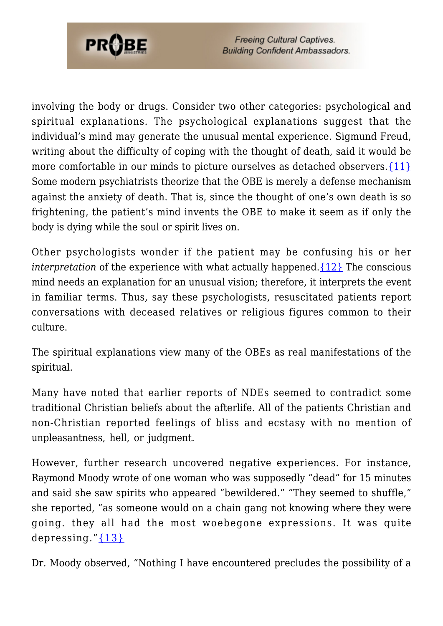

**Freeing Cultural Captives. Building Confident Ambassadors.** 

involving the body or drugs. Consider two other categories: psychological and spiritual explanations. The psychological explanations suggest that the individual's mind may generate the unusual mental experience. Sigmund Freud, writing about the difficulty of coping with the thought of death, said it would be more comfortable in our minds to picture ourselves as detached observers. {11} Some modern psychiatrists theorize that the OBE is merely a defense mechanism against the anxiety of death. That is, since the thought of one's own death is so frightening, the patient's mind invents the OBE to make it seem as if only the body is dying while the soul or spirit lives on.

Other psychologists wonder if the patient may be confusing his or her *interpretation* of the experience with what actually happened. [{12}](#page-8-0) The conscious mind needs an explanation for an unusual vision; therefore, it interprets the event in familiar terms. Thus, say these psychologists, resuscitated patients report conversations with deceased relatives or religious figures common to their culture.

The spiritual explanations view many of the OBEs as real manifestations of the spiritual.

Many have noted that earlier reports of NDEs seemed to contradict some traditional Christian beliefs about the afterlife. All of the patients Christian and non-Christian reported feelings of bliss and ecstasy with no mention of unpleasantness, hell, or judgment.

However, further research uncovered negative experiences. For instance, Raymond Moody wrote of one woman who was supposedly "dead" for 15 minutes and said she saw spirits who appeared "bewildered." "They seemed to shuffle," she reported, "as someone would on a chain gang not knowing where they were going. they all had the most woebegone expressions. It was quite depressing." $\{13\}$ 

Dr. Moody observed, "Nothing I have encountered precludes the possibility of a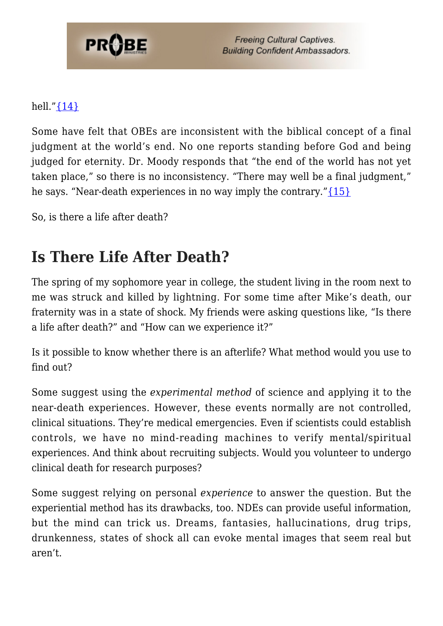

**Freeing Cultural Captives. Building Confident Ambassadors.** 

#### hell." $\{14\}$

Some have felt that OBEs are inconsistent with the biblical concept of a final judgment at the world's end. No one reports standing before God and being judged for eternity. Dr. Moody responds that "the end of the world has not yet taken place," so there is no inconsistency. "There may well be a final judgment," he says. "Near-death experiences in no way imply the contrary." $\{15\}$ 

So, is there a life after death?

### **Is There Life After Death?**

The spring of my sophomore year in college, the student living in the room next to me was struck and killed by lightning. For some time after Mike's death, our fraternity was in a state of shock. My friends were asking questions like, "Is there a life after death?" and "How can we experience it?"

Is it possible to know whether there is an afterlife? What method would you use to find out?

Some suggest using the *experimental method* of science and applying it to the near-death experiences. However, these events normally are not controlled, clinical situations. They're medical emergencies. Even if scientists could establish controls, we have no mind-reading machines to verify mental/spiritual experiences. And think about recruiting subjects. Would you volunteer to undergo clinical death for research purposes?

Some suggest relying on personal *experience* to answer the question. But the experiential method has its drawbacks, too. NDEs can provide useful information, but the mind can trick us. Dreams, fantasies, hallucinations, drug trips, drunkenness, states of shock all can evoke mental images that seem real but aren't.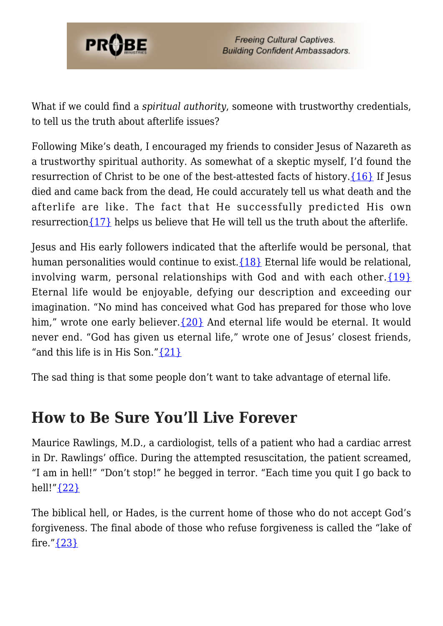

What if we could find a *spiritual authority*, someone with trustworthy credentials, to tell us the truth about afterlife issues?

Following Mike's death, I encouraged my friends to consider Jesus of Nazareth as a trustworthy spiritual authority. As somewhat of a skeptic myself, I'd found the resurrection of Christ to be one of the best-attested facts of history. $\{16\}$  If Jesus died and came back from the dead, He could accurately tell us what death and the afterlife are like. The fact that He successfully predicted His own resurrection ${17}$  helps us believe that He will tell us the truth about the afterlife.

Jesus and His early followers indicated that the afterlife would be personal, that human personalities would continue to exist.  $\{18\}$  Eternal life would be relational, involving warm, personal relationships with God and with each other. $\{19\}$ Eternal life would be enjoyable, defying our description and exceeding our imagination. "No mind has conceived what God has prepared for those who love him," wrote one early believer.  $\{20\}$  And eternal life would be eternal. It would never end. "God has given us eternal life," wrote one of Jesus' closest friends, "and this life is in His Son.["{21}](#page-8-9)

The sad thing is that some people don't want to take advantage of eternal life.

### **How to Be Sure You'll Live Forever**

Maurice Rawlings, M.D., a cardiologist, tells of a patient who had a cardiac arrest in Dr. Rawlings' office. During the attempted resuscitation, the patient screamed, "I am in hell!" "Don't stop!" he begged in terror. "Each time you quit I go back to hell!" {22}

The biblical hell, or Hades, is the current home of those who do not accept God's forgiveness. The final abode of those who refuse forgiveness is called the "lake of fire." $\{23\}$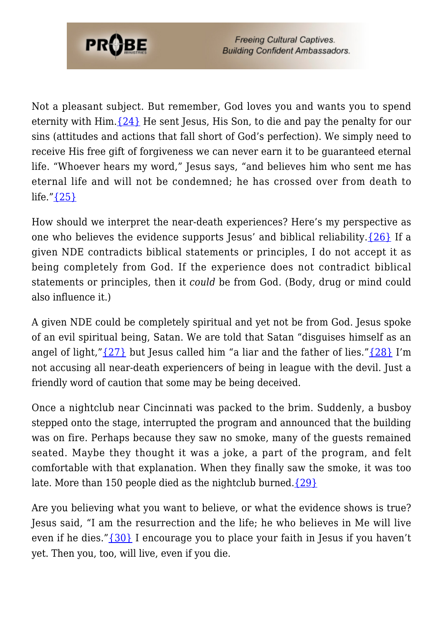

Not a pleasant subject. But remember, God loves you and wants you to spend eternity with Him.  $\{24\}$  He sent Jesus, His Son, to die and pay the penalty for our sins (attitudes and actions that fall short of God's perfection). We simply need to receive His free gift of forgiveness we can never earn it to be guaranteed eternal life. "Whoever hears my word," Jesus says, "and believes him who sent me has eternal life and will not be condemned; he has crossed over from death to life." $\{25\}$ 

How should we interpret the near-death experiences? Here's my perspective as one who believes the evidence supports Jesus' and biblical reliability. $\{26\}$  If a given NDE contradicts biblical statements or principles, I do not accept it as being completely from God. If the experience does not contradict biblical statements or principles, then it *could* be from God. (Body, drug or mind could also influence it.)

A given NDE could be completely spiritual and yet not be from God. Jesus spoke of an evil spiritual being, Satan. We are told that Satan "disguises himself as an angel of light," $\{27\}$  but Jesus called him "a liar and the father of lies." $\{28\}$  I'm not accusing all near-death experiencers of being in league with the devil. Just a friendly word of caution that some may be being deceived.

Once a nightclub near Cincinnati was packed to the brim. Suddenly, a busboy stepped onto the stage, interrupted the program and announced that the building was on fire. Perhaps because they saw no smoke, many of the guests remained seated. Maybe they thought it was a joke, a part of the program, and felt comfortable with that explanation. When they finally saw the smoke, it was too late. More than 150 people died as the nightclub burned. $\{29\}$ 

Are you believing what you want to believe, or what the evidence shows is true? Jesus said, "I am the resurrection and the life; he who believes in Me will live even if he dies." $\{30\}$  I encourage you to place your faith in Jesus if you haven't yet. Then you, too, will live, even if you die.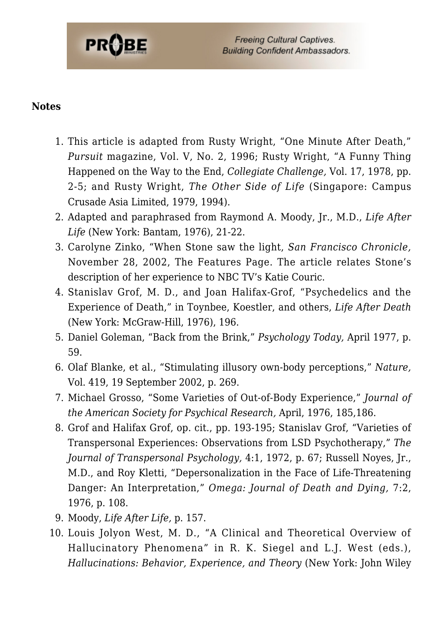

#### <span id="page-7-0"></span>**Notes**

- 1. This article is adapted from Rusty Wright, "One Minute After Death," *Pursuit* magazine, Vol. V, No. 2, 1996; Rusty Wright, "A Funny Thing Happened on the Way to the End, *Collegiate Challenge,* Vol. 17, 1978, pp. 2-5; and Rusty Wright, *The Other Side of Life* (Singapore: Campus Crusade Asia Limited, 1979, 1994).
- <span id="page-7-2"></span><span id="page-7-1"></span>2. Adapted and paraphrased from Raymond A. Moody, Jr., M.D., *Life After Life* (New York: Bantam, 1976), 21-22.
- 3. Carolyne Zinko, "When Stone saw the light, *San Francisco Chronicle,* November 28, 2002, The Features Page. The article relates Stone's description of her experience to NBC TV's Katie Couric.
- <span id="page-7-3"></span>4. Stanislav Grof, M. D., and Joan Halifax-Grof, "Psychedelics and the Experience of Death," in Toynbee, Koestler, and others, *Life After Death* (New York: McGraw-Hill, 1976), 196.
- <span id="page-7-5"></span><span id="page-7-4"></span>5. Daniel Goleman, "Back from the Brink," *Psychology Today,* April 1977, p. 59.
- <span id="page-7-6"></span>6. Olaf Blanke, et al., "Stimulating illusory own-body perceptions," *Nature,* Vol. 419, 19 September 2002, p. 269.
- <span id="page-7-7"></span>7. Michael Grosso, "Some Varieties of Out-of-Body Experience," *Journal of the American Society for Psychical Research,* April, 1976, 185,186.
- 8. Grof and Halifax Grof, op. cit., pp. 193-195; Stanislav Grof, "Varieties of Transpersonal Experiences: Observations from LSD Psychotherapy," *The Journal of Transpersonal Psychology,* 4:1, 1972, p. 67; Russell Noyes, Jr., M.D., and Roy Kletti, "Depersonalization in the Face of Life-Threatening Danger: An Interpretation," *Omega: Journal of Death and Dying,* 7:2, 1976, p. 108.
- <span id="page-7-8"></span>9. Moody, *Life After Life,* p. 157.
- <span id="page-7-10"></span><span id="page-7-9"></span>10. Louis Jolyon West, M. D., "A Clinical and Theoretical Overview of Hallucinatory Phenomena" in R. K. Siegel and L.J. West (eds.), *Hallucinations: Behavior, Experience, and Theory* (New York: John Wiley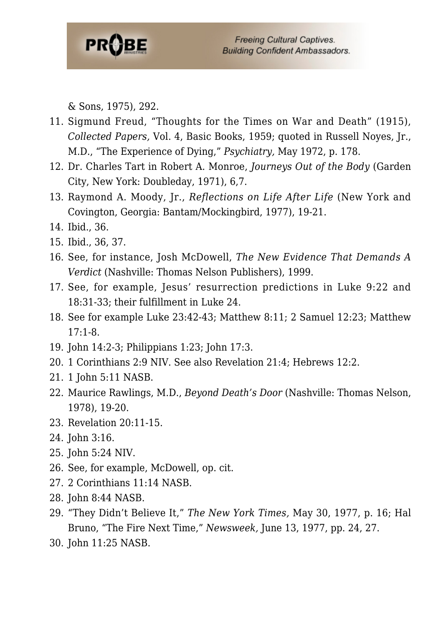

& Sons, 1975), 292.

- 11. Sigmund Freud, "Thoughts for the Times on War and Death" (1915), *Collected Papers,* Vol. 4, Basic Books, 1959; quoted in Russell Noyes, Jr., M.D., "The Experience of Dying," *Psychiatry,* May 1972, p. 178.
- <span id="page-8-1"></span><span id="page-8-0"></span>12. Dr. Charles Tart in Robert A. Monroe, *Journeys Out of the Body* (Garden City, New York: Doubleday, 1971), 6,7.
- <span id="page-8-2"></span>13. Raymond A. Moody, Jr., *Reflections on Life After Life* (New York and Covington, Georgia: Bantam/Mockingbird, 1977), 19-21.
- <span id="page-8-3"></span>14. Ibid., 36.
- <span id="page-8-4"></span>15. Ibid., 36, 37.
- <span id="page-8-5"></span>16. See, for instance, Josh McDowell, *The New Evidence That Demands A Verdict* (Nashville: Thomas Nelson Publishers), 1999.
- <span id="page-8-6"></span>17. See, for example, Jesus' resurrection predictions in Luke 9:22 and 18:31-33; their fulfillment in Luke 24.
- <span id="page-8-7"></span>18. See for example Luke 23:42-43; Matthew 8:11; 2 Samuel 12:23; Matthew 17:1-8.
- <span id="page-8-8"></span>19. John 14:2-3; Philippians 1:23; John 17:3.
- <span id="page-8-9"></span>20. 1 Corinthians 2:9 NIV. See also Revelation 21:4; Hebrews 12:2.
- <span id="page-8-10"></span>21. 1 John 5:11 NASB.
- <span id="page-8-11"></span>22. Maurice Rawlings, M.D., *Beyond Death's Door* (Nashville: Thomas Nelson, 1978), 19-20.
- <span id="page-8-12"></span>23. Revelation 20:11-15.
- <span id="page-8-13"></span>24. John 3:16.
- <span id="page-8-14"></span>25. John 5:24 NIV.
- <span id="page-8-15"></span>26. See, for example, McDowell, op. cit.
- <span id="page-8-16"></span>27. 2 Corinthians 11:14 NASB.
- <span id="page-8-17"></span>28. John 8:44 NASB.
- <span id="page-8-18"></span>29. "They Didn't Believe It," *The New York Times,* May 30, 1977, p. 16; Hal Bruno, "The Fire Next Time," *Newsweek,* June 13, 1977, pp. 24, 27.
- 30. John 11:25 NASB.